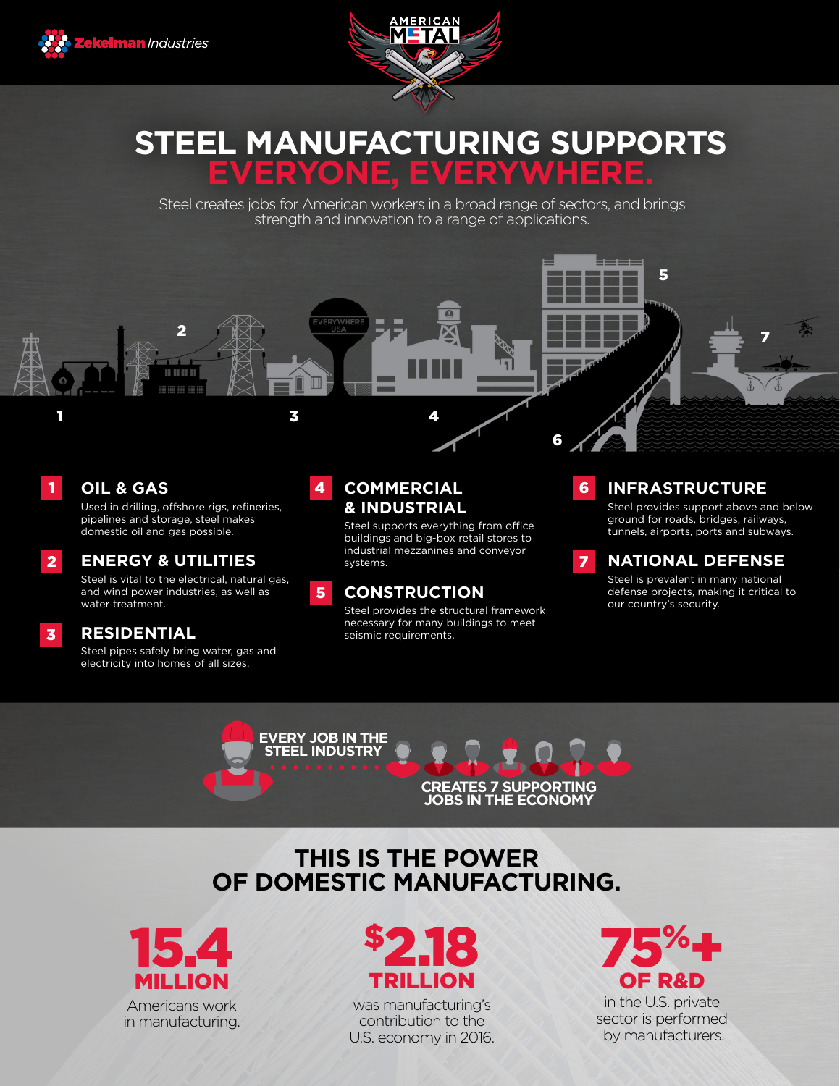



# **STEEL MANUFACTURING SUPPORTS ERYONE, EV**

Steel creates jobs for American workers in a broad range of sectors, and brings strength and innovation to a range of applications.



## **OIL & GAS**

1

2

3

Used in drilling, offshore rigs, refineries, pipelines and storage, steel makes domestic oil and gas possible.

## **ENERGY & UTILITIES**

Steel is vital to the electrical, natural gas, and wind power industries, as well as water treatment.

## **RESIDENTIAL**

Steel pipes safely bring water, gas and electricity into homes of all sizes.

#### **COMMERCIAL & INDUSTRIAL** 4

Steel supports everything from office buildings and big-box retail stores to industrial mezzanines and conveyor systems.

#### **CONSTRUCTION** 5

Steel provides the structural framework necessary for many buildings to meet seismic requirements.

#### **INFRASTRUCTURE**  6

Steel provides support above and below ground for roads, bridges, railways, tunnels, airports, ports and subways.

#### **NATIONAL DEFENSE** 7

Steel is prevalent in many national defense projects, making it critical to our country's security.



# **THIS IS THE POWER OF DOMESTIC MANUFACTURING.**





was manufacturing's contribution to the U.S. economy in 2016.



in the U.S. private sector is performed by manufacturers.